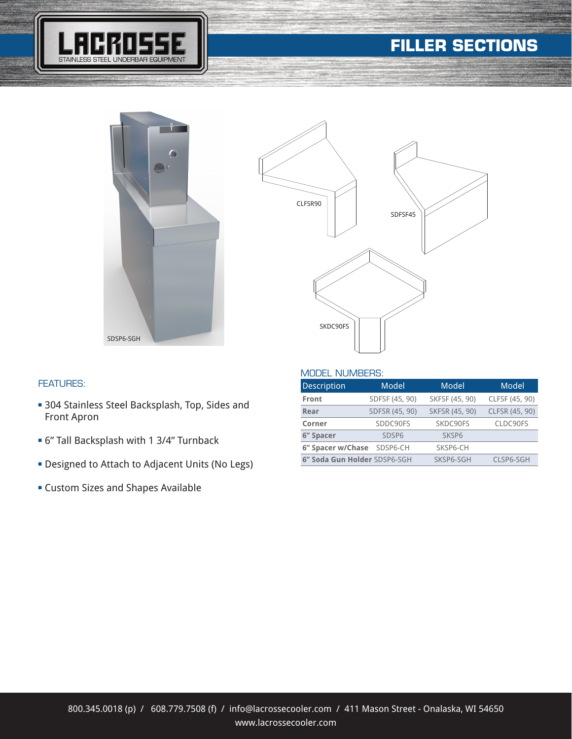# **FILLER SECTIONS**







### FEATURES:

- **= 304 Stainless Steel Backsplash, Top, Sides and** Front Apron
- <sup>n</sup> 6" Tall Backsplash with 1 3/4" Turnback
- **-** Designed to Attach to Adjacent Units (No Legs)
- <sup>n</sup> Custom Sizes and Shapes Available

| <b>Description</b>           | Model             | Model          | Model          |
|------------------------------|-------------------|----------------|----------------|
| <b>Front</b>                 | SDFSF (45, 90)    | SKFSF (45, 90) | CLFSF (45, 90) |
| Rear                         | SDFSR (45, 90)    | SKFSR (45, 90) | CLFSR (45, 90) |
| Corner                       | SDDC90FS          | SKDC90FS       | CLDC90FS       |
| 6" Spacer                    | SDSP <sub>6</sub> | <b>SKSP6</b>   |                |
| 6" Spacer w/Chase SDSP6-CH   |                   | SKSP6-CH       |                |
| 6" Soda Gun Holder SDSP6-SGH |                   | SKSP6-SGH      | CLSP6-SGH      |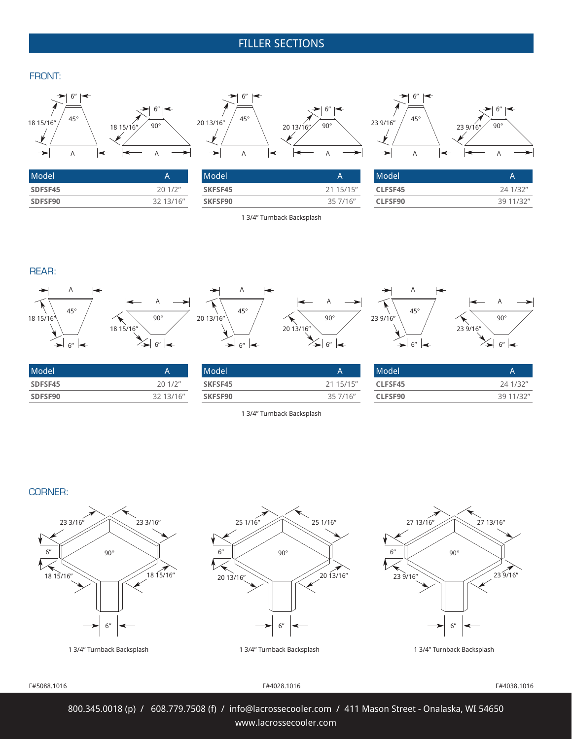### FILLER SECTIONS  $\mathbf{F}_{\mathbf{F}}$  is the section of  $\mathbf{F}_{\mathbf{F}}$

#### FRONT:



 $\mathbf{F}_{\mathbf{F}}$  is the section of  $\mathbf{F}_{\mathbf{F}}$ 

| Model   |           |
|---------|-----------|
| SDFSF45 | 201/2"    |
| SDFSF90 | 32 13/16" |



| Model          |           |
|----------------|-----------|
| <b>SKFSF45</b> | 21 15/15" |
| SKFSF90        | 35 7/16"  |

1 3/4" Turnback Backsplash



 $\mathbf{F}_{\mathbf{F}}$  is the section of  $\mathbf{F}_{\mathbf{F}}$ 

| Model   |           |  |
|---------|-----------|--|
| CLFSF45 | 24 1/32"  |  |
| CLFSF90 | 39 11/32" |  |

REAR:





| A                    |                |                     |              |              |          |
|----------------------|----------------|---------------------|--------------|--------------|----------|
| 45°                  |                | $45^{\circ}$        |              | $45^{\circ}$ |          |
|                      | $90^{\circ}$   | 20 13/16"           | $90^{\circ}$ | 23 9/16"     | 90       |
|                      | 18 15/16"      |                     | 20 13/16"    |              | 23 9/16" |
| 6″ I <del>&lt;</del> | C <sub>H</sub> | 6"<br>$\rightarrow$ | $\epsilon$   | $\epsilon$   | 6''      |

FILLER SECTION - CORNER



| Model <sup>'</sup> |           |
|--------------------|-----------|
| CLFSF45            | 24 1/32"  |
| CLFSF90            | 39 11/32" |

1 3/4" Turnback Backsplash **SKFSF90** 35 7/16"

Model And American Security A **SKFSF45** 21 15/15"

#### CORNER:  $\mathbf{D} \cdot$







#### F#5088.1016 F#4028.1016

F#4038.1016

800.345.0018 (p) / 608.779.7508 (f) / info@lacrossecooler.com / 411 Mason Street - Onalaska, WI 54650 www.lacrossecooler.com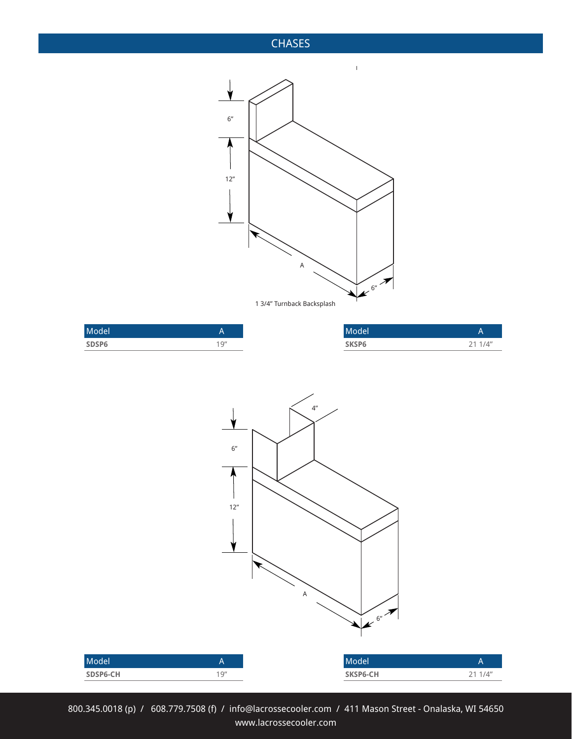### **CHASES**



| Model |             | Model |         |
|-------|-------------|-------|---------|
| SDSP6 | 1Q''<br>. . | SKSP6 | 21 1/4" |



800.345.0018 (p) / 608.779.7508 (f) / info@lacrossecooler.com / 411 Mason Street - Onalaska, WI 54650 www.lacrossecooler.com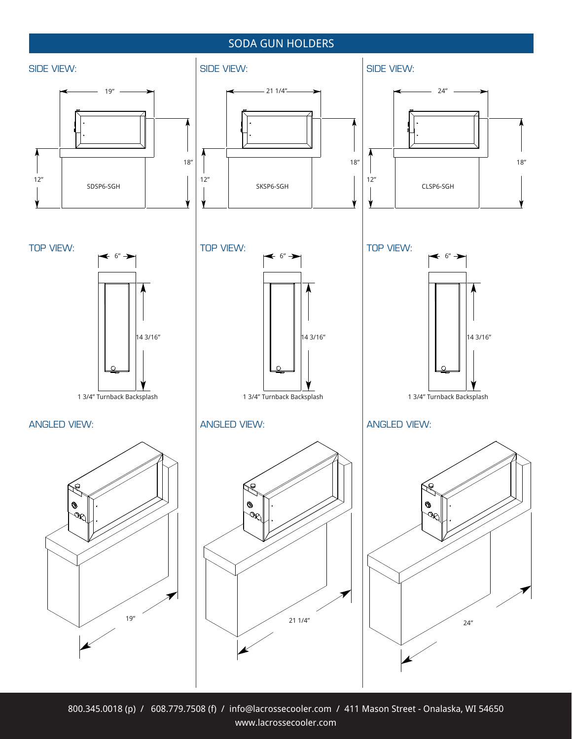### SODA GUN HOLDERS